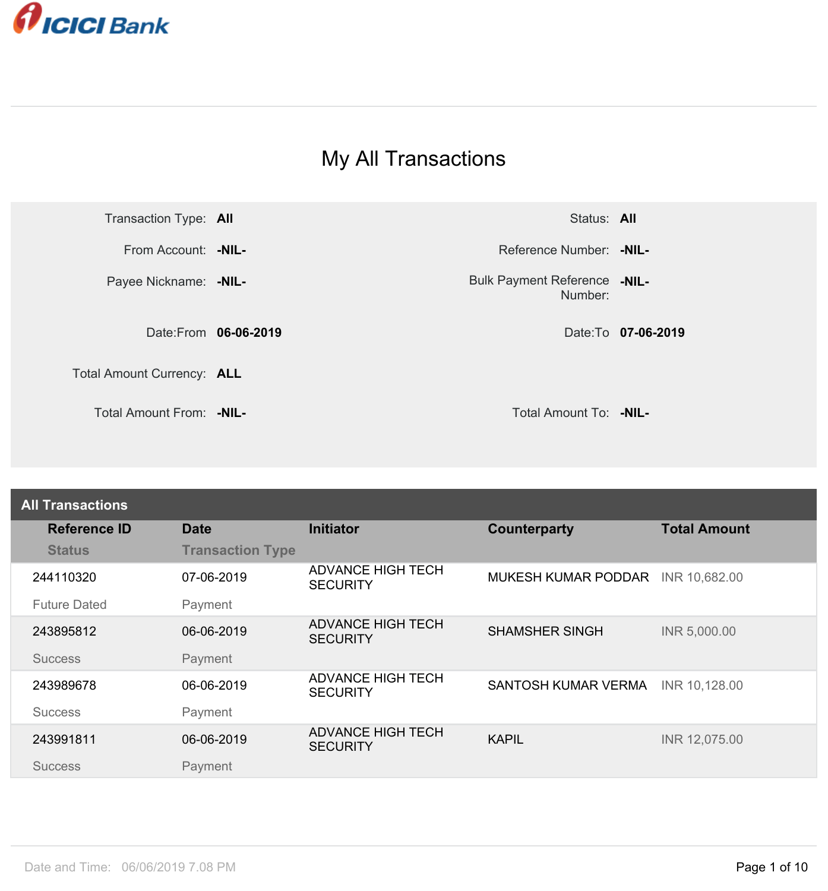

## My All Transactions



Number: Bulk Payment Reference -NIL-

| <b>All Transactions</b> |                         |                                             |                            |                     |
|-------------------------|-------------------------|---------------------------------------------|----------------------------|---------------------|
| <b>Reference ID</b>     | <b>Date</b>             | <b>Initiator</b>                            | <b>Counterparty</b>        | <b>Total Amount</b> |
| <b>Status</b>           | <b>Transaction Type</b> |                                             |                            |                     |
| 244110320               | 07-06-2019              | ADVANCE HIGH TECH<br><b>SECURITY</b>        | <b>MUKESH KUMAR PODDAR</b> | INR 10,682.00       |
| <b>Future Dated</b>     | Payment                 |                                             |                            |                     |
| 243895812               | 06-06-2019              | <b>ADVANCE HIGH TECH</b><br><b>SECURITY</b> | <b>SHAMSHER SINGH</b>      | INR 5,000.00        |
| <b>Success</b>          | Payment                 |                                             |                            |                     |
| 243989678               | 06-06-2019              | <b>ADVANCE HIGH TECH</b><br><b>SECURITY</b> | SANTOSH KUMAR VERMA        | INR 10,128.00       |
| <b>Success</b>          | Payment                 |                                             |                            |                     |
| 243991811               | 06-06-2019              | <b>ADVANCE HIGH TECH</b><br><b>SECURITY</b> | <b>KAPIL</b>               | INR 12,075.00       |
| <b>Success</b>          | Payment                 |                                             |                            |                     |
|                         |                         |                                             |                            |                     |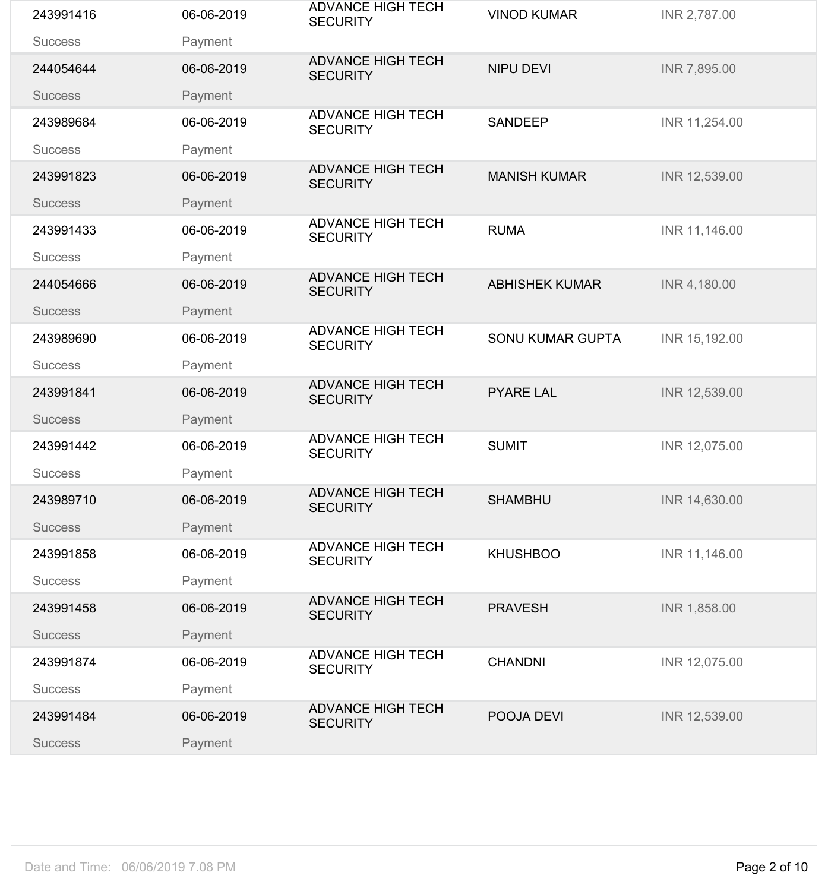| 243991416      | 06-06-2019 | <b>ADVANCE HIGH TECH</b><br><b>SECURITY</b> | <b>VINOD KUMAR</b>      | INR 2,787.00  |
|----------------|------------|---------------------------------------------|-------------------------|---------------|
| <b>Success</b> | Payment    |                                             |                         |               |
| 244054644      | 06-06-2019 | <b>ADVANCE HIGH TECH</b><br><b>SECURITY</b> | <b>NIPU DEVI</b>        | INR 7,895.00  |
| <b>Success</b> | Payment    |                                             |                         |               |
| 243989684      | 06-06-2019 | <b>ADVANCE HIGH TECH</b><br><b>SECURITY</b> | <b>SANDEEP</b>          | INR 11,254.00 |
| <b>Success</b> | Payment    |                                             |                         |               |
| 243991823      | 06-06-2019 | <b>ADVANCE HIGH TECH</b><br><b>SECURITY</b> | <b>MANISH KUMAR</b>     | INR 12,539.00 |
| <b>Success</b> | Payment    |                                             |                         |               |
| 243991433      | 06-06-2019 | <b>ADVANCE HIGH TECH</b><br><b>SECURITY</b> | <b>RUMA</b>             | INR 11,146.00 |
| <b>Success</b> | Payment    | <b>ADVANCE HIGH TECH</b>                    |                         |               |
| 244054666      | 06-06-2019 | <b>SECURITY</b>                             | <b>ABHISHEK KUMAR</b>   | INR 4,180.00  |
| <b>Success</b> | Payment    |                                             |                         |               |
| 243989690      | 06-06-2019 | <b>ADVANCE HIGH TECH</b><br><b>SECURITY</b> | <b>SONU KUMAR GUPTA</b> | INR 15,192.00 |
| <b>Success</b> | Payment    |                                             |                         |               |
| 243991841      | 06-06-2019 | <b>ADVANCE HIGH TECH</b><br><b>SECURITY</b> | <b>PYARE LAL</b>        | INR 12,539.00 |
| <b>Success</b> | Payment    |                                             |                         |               |
| 243991442      | 06-06-2019 | <b>ADVANCE HIGH TECH</b><br><b>SECURITY</b> | <b>SUMIT</b>            | INR 12,075.00 |
| <b>Success</b> | Payment    |                                             |                         |               |
| 243989710      | 06-06-2019 | <b>ADVANCE HIGH TECH</b><br><b>SECURITY</b> | <b>SHAMBHU</b>          | INR 14,630.00 |
| <b>Success</b> | Payment    |                                             |                         |               |
| 243991858      | 06-06-2019 | <b>ADVANCE HIGH TECH</b><br><b>SECURITY</b> | <b>KHUSHBOO</b>         | INR 11,146.00 |
| <b>Success</b> | Payment    |                                             |                         |               |
| 243991458      | 06-06-2019 | <b>ADVANCE HIGH TECH</b><br><b>SECURITY</b> | <b>PRAVESH</b>          | INR 1,858.00  |
| <b>Success</b> | Payment    |                                             |                         |               |
| 243991874      | 06-06-2019 | <b>ADVANCE HIGH TECH</b><br><b>SECURITY</b> | <b>CHANDNI</b>          | INR 12,075.00 |
| <b>Success</b> | Payment    |                                             |                         |               |
| 243991484      | 06-06-2019 | <b>ADVANCE HIGH TECH</b><br><b>SECURITY</b> | POOJA DEVI              | INR 12,539.00 |
| <b>Success</b> | Payment    |                                             |                         |               |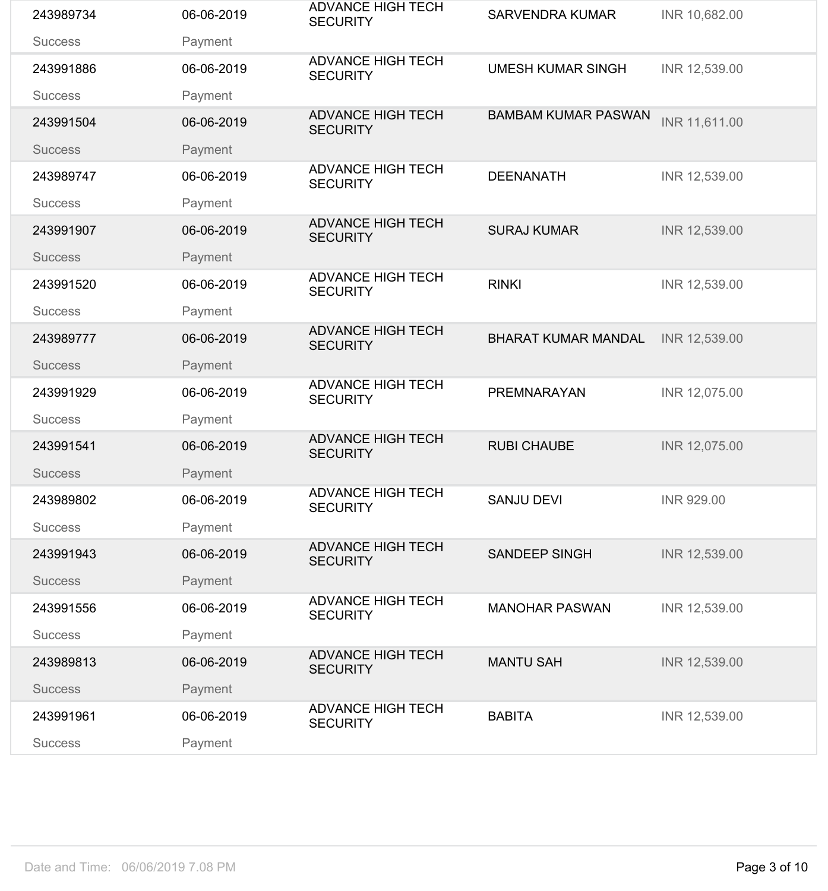| 243989734      | 06-06-2019 | <b>ADVANCE HIGH TECH</b><br><b>SECURITY</b> | <b>SARVENDRA KUMAR</b>     | INR 10,682.00     |
|----------------|------------|---------------------------------------------|----------------------------|-------------------|
| <b>Success</b> | Payment    |                                             |                            |                   |
| 243991886      | 06-06-2019 | <b>ADVANCE HIGH TECH</b><br><b>SECURITY</b> | <b>UMESH KUMAR SINGH</b>   | INR 12,539.00     |
| <b>Success</b> | Payment    |                                             |                            |                   |
| 243991504      | 06-06-2019 | <b>ADVANCE HIGH TECH</b><br><b>SECURITY</b> | <b>BAMBAM KUMAR PASWAN</b> | INR 11,611.00     |
| <b>Success</b> | Payment    |                                             |                            |                   |
| 243989747      | 06-06-2019 | <b>ADVANCE HIGH TECH</b><br><b>SECURITY</b> | <b>DEENANATH</b>           | INR 12,539.00     |
| <b>Success</b> | Payment    |                                             |                            |                   |
| 243991907      | 06-06-2019 | <b>ADVANCE HIGH TECH</b><br><b>SECURITY</b> | <b>SURAJ KUMAR</b>         | INR 12,539.00     |
| <b>Success</b> | Payment    |                                             |                            |                   |
| 243991520      | 06-06-2019 | <b>ADVANCE HIGH TECH</b><br><b>SECURITY</b> | <b>RINKI</b>               | INR 12,539.00     |
| <b>Success</b> | Payment    |                                             |                            |                   |
| 243989777      | 06-06-2019 | <b>ADVANCE HIGH TECH</b><br><b>SECURITY</b> | <b>BHARAT KUMAR MANDAL</b> | INR 12,539.00     |
| <b>Success</b> | Payment    |                                             |                            |                   |
| 243991929      | 06-06-2019 | <b>ADVANCE HIGH TECH</b><br><b>SECURITY</b> | PREMNARAYAN                | INR 12,075.00     |
| <b>Success</b> | Payment    |                                             |                            |                   |
| 243991541      | 06-06-2019 | <b>ADVANCE HIGH TECH</b><br><b>SECURITY</b> | <b>RUBI CHAUBE</b>         | INR 12,075.00     |
| <b>Success</b> | Payment    |                                             |                            |                   |
| 243989802      | 06-06-2019 | <b>ADVANCE HIGH TECH</b><br><b>SECURITY</b> | <b>SANJU DEVI</b>          | <b>INR 929.00</b> |
| <b>Success</b> | Payment    |                                             |                            |                   |
| 243991943      | 06-06-2019 | <b>ADVANCE HIGH TECH</b><br><b>SECURITY</b> | <b>SANDEEP SINGH</b>       | INR 12,539.00     |
| <b>Success</b> | Payment    |                                             |                            |                   |
| 243991556      | 06-06-2019 | <b>ADVANCE HIGH TECH</b><br><b>SECURITY</b> | <b>MANOHAR PASWAN</b>      | INR 12,539.00     |
| <b>Success</b> | Payment    |                                             |                            |                   |
| 243989813      | 06-06-2019 | <b>ADVANCE HIGH TECH</b><br><b>SECURITY</b> | <b>MANTU SAH</b>           | INR 12,539.00     |
| <b>Success</b> | Payment    |                                             |                            |                   |
| 243991961      | 06-06-2019 | <b>ADVANCE HIGH TECH</b><br><b>SECURITY</b> | <b>BABITA</b>              | INR 12,539.00     |
| <b>Success</b> | Payment    |                                             |                            |                   |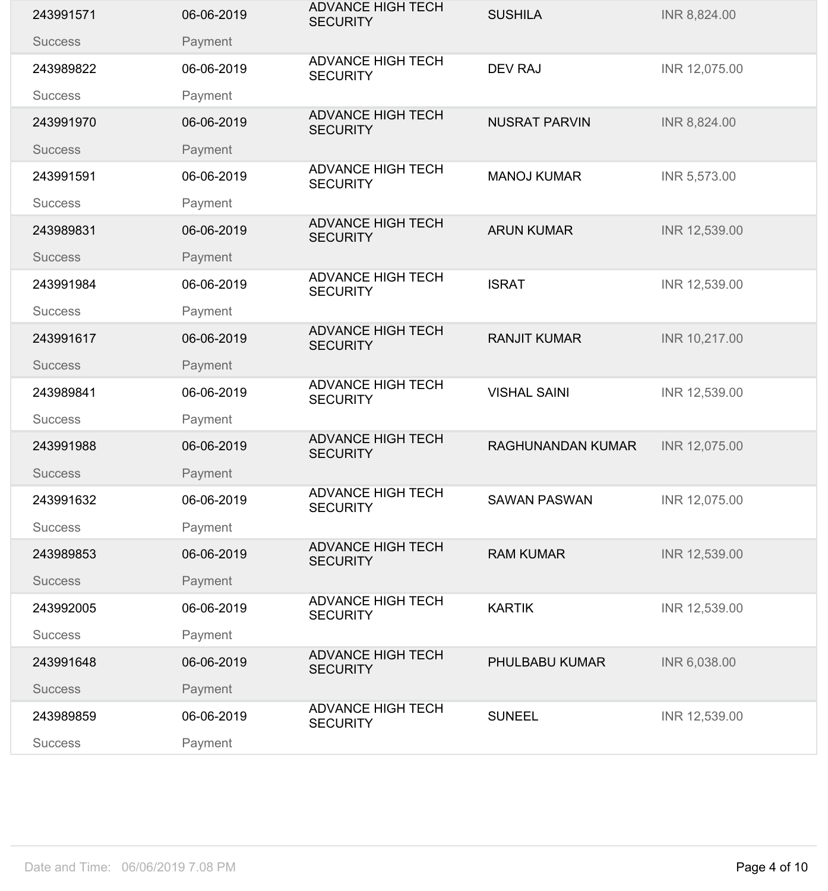| 243991571      | 06-06-2019 | <b>ADVANCE HIGH TECH</b><br><b>SECURITY</b> | <b>SUSHILA</b>           | INR 8,824.00  |
|----------------|------------|---------------------------------------------|--------------------------|---------------|
| <b>Success</b> | Payment    |                                             |                          |               |
| 243989822      | 06-06-2019 | <b>ADVANCE HIGH TECH</b><br><b>SECURITY</b> | <b>DEV RAJ</b>           | INR 12,075.00 |
| <b>Success</b> | Payment    |                                             |                          |               |
| 243991970      | 06-06-2019 | <b>ADVANCE HIGH TECH</b><br><b>SECURITY</b> | <b>NUSRAT PARVIN</b>     | INR 8,824.00  |
| <b>Success</b> | Payment    |                                             |                          |               |
| 243991591      | 06-06-2019 | <b>ADVANCE HIGH TECH</b><br><b>SECURITY</b> | <b>MANOJ KUMAR</b>       | INR 5,573.00  |
| <b>Success</b> | Payment    |                                             |                          |               |
| 243989831      | 06-06-2019 | <b>ADVANCE HIGH TECH</b><br><b>SECURITY</b> | <b>ARUN KUMAR</b>        | INR 12,539.00 |
| <b>Success</b> | Payment    |                                             |                          |               |
| 243991984      | 06-06-2019 | <b>ADVANCE HIGH TECH</b><br><b>SECURITY</b> | <b>ISRAT</b>             | INR 12,539.00 |
| <b>Success</b> | Payment    |                                             |                          |               |
| 243991617      | 06-06-2019 | <b>ADVANCE HIGH TECH</b><br><b>SECURITY</b> | <b>RANJIT KUMAR</b>      | INR 10,217.00 |
| <b>Success</b> | Payment    |                                             |                          |               |
| 243989841      | 06-06-2019 | <b>ADVANCE HIGH TECH</b><br><b>SECURITY</b> | <b>VISHAL SAINI</b>      | INR 12,539.00 |
| <b>Success</b> | Payment    |                                             |                          |               |
| 243991988      | 06-06-2019 | <b>ADVANCE HIGH TECH</b><br><b>SECURITY</b> | <b>RAGHUNANDAN KUMAR</b> | INR 12,075.00 |
| <b>Success</b> | Payment    |                                             |                          |               |
| 243991632      | 06-06-2019 | <b>ADVANCE HIGH TECH</b><br><b>SECURITY</b> | <b>SAWAN PASWAN</b>      | INR 12,075.00 |
| <b>Success</b> | Payment    |                                             |                          |               |
| 243989853      | 06-06-2019 | <b>ADVANCE HIGH TECH</b><br><b>SECURITY</b> | <b>RAM KUMAR</b>         | INR 12,539.00 |
| <b>Success</b> | Payment    |                                             |                          |               |
| 243992005      | 06-06-2019 | <b>ADVANCE HIGH TECH</b><br><b>SECURITY</b> | <b>KARTIK</b>            | INR 12,539.00 |
| <b>Success</b> | Payment    |                                             |                          |               |
| 243991648      | 06-06-2019 | <b>ADVANCE HIGH TECH</b><br><b>SECURITY</b> | PHULBABU KUMAR           | INR 6,038.00  |
| <b>Success</b> | Payment    |                                             |                          |               |
| 243989859      | 06-06-2019 | <b>ADVANCE HIGH TECH</b><br><b>SECURITY</b> | <b>SUNEEL</b>            | INR 12,539.00 |
| <b>Success</b> | Payment    |                                             |                          |               |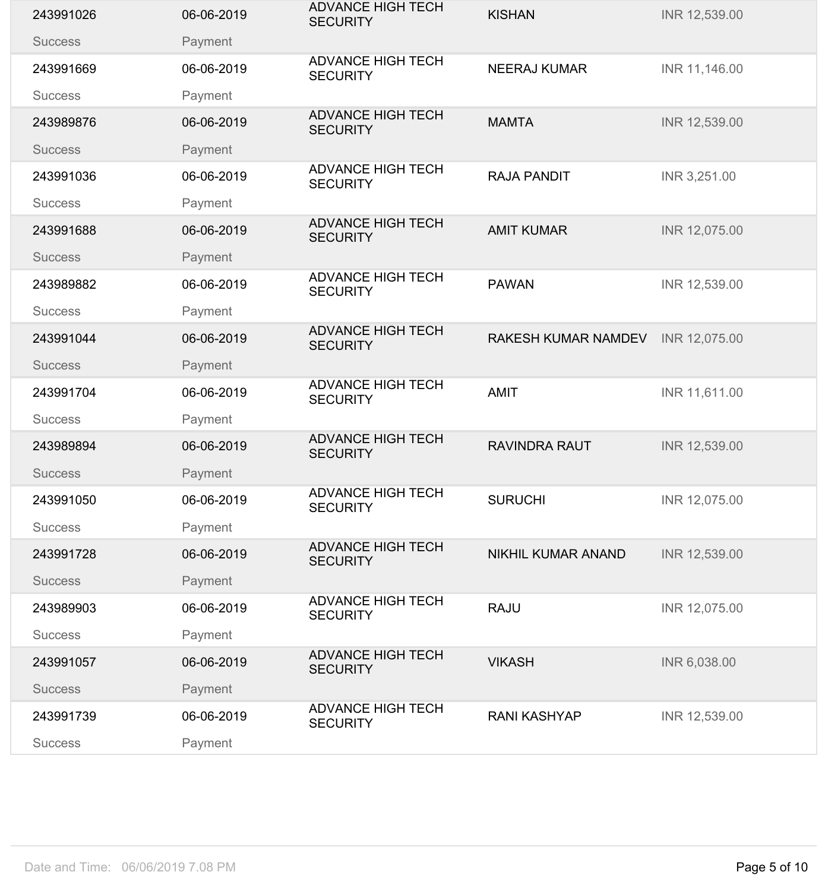| 243991026      | 06-06-2019 | <b>ADVANCE HIGH TECH</b><br><b>SECURITY</b> | <b>KISHAN</b>             | INR 12,539.00 |
|----------------|------------|---------------------------------------------|---------------------------|---------------|
| <b>Success</b> | Payment    |                                             |                           |               |
| 243991669      | 06-06-2019 | <b>ADVANCE HIGH TECH</b><br><b>SECURITY</b> | <b>NEERAJ KUMAR</b>       | INR 11,146.00 |
| <b>Success</b> | Payment    |                                             |                           |               |
| 243989876      | 06-06-2019 | <b>ADVANCE HIGH TECH</b><br><b>SECURITY</b> | <b>MAMTA</b>              | INR 12,539.00 |
| <b>Success</b> | Payment    |                                             |                           |               |
| 243991036      | 06-06-2019 | <b>ADVANCE HIGH TECH</b><br><b>SECURITY</b> | <b>RAJA PANDIT</b>        | INR 3,251.00  |
| <b>Success</b> | Payment    |                                             |                           |               |
| 243991688      | 06-06-2019 | <b>ADVANCE HIGH TECH</b><br><b>SECURITY</b> | <b>AMIT KUMAR</b>         | INR 12,075.00 |
| <b>Success</b> | Payment    | <b>ADVANCE HIGH TECH</b>                    |                           |               |
| 243989882      | 06-06-2019 | <b>SECURITY</b>                             | <b>PAWAN</b>              | INR 12,539.00 |
| <b>Success</b> | Payment    |                                             |                           |               |
| 243991044      | 06-06-2019 | <b>ADVANCE HIGH TECH</b><br><b>SECURITY</b> | RAKESH KUMAR NAMDEV       | INR 12,075.00 |
| <b>Success</b> | Payment    |                                             |                           |               |
| 243991704      | 06-06-2019 | <b>ADVANCE HIGH TECH</b><br><b>SECURITY</b> | <b>AMIT</b>               | INR 11,611.00 |
| <b>Success</b> | Payment    |                                             |                           |               |
| 243989894      | 06-06-2019 | <b>ADVANCE HIGH TECH</b><br><b>SECURITY</b> | <b>RAVINDRA RAUT</b>      | INR 12,539.00 |
| <b>Success</b> | Payment    |                                             |                           |               |
| 243991050      | 06-06-2019 | <b>ADVANCE HIGH TECH</b><br><b>SECURITY</b> | <b>SURUCHI</b>            | INR 12,075.00 |
| <b>Success</b> | Payment    |                                             |                           |               |
| 243991728      | 06-06-2019 | <b>ADVANCE HIGH TECH</b><br><b>SECURITY</b> | <b>NIKHIL KUMAR ANAND</b> | INR 12,539.00 |
| <b>Success</b> | Payment    |                                             |                           |               |
| 243989903      | 06-06-2019 | <b>ADVANCE HIGH TECH</b><br><b>SECURITY</b> | <b>RAJU</b>               | INR 12,075.00 |
| <b>Success</b> | Payment    |                                             |                           |               |
| 243991057      | 06-06-2019 | <b>ADVANCE HIGH TECH</b><br><b>SECURITY</b> | <b>VIKASH</b>             | INR 6,038.00  |
| <b>Success</b> | Payment    |                                             |                           |               |
| 243991739      | 06-06-2019 | <b>ADVANCE HIGH TECH</b><br><b>SECURITY</b> | <b>RANI KASHYAP</b>       | INR 12,539.00 |
| <b>Success</b> | Payment    |                                             |                           |               |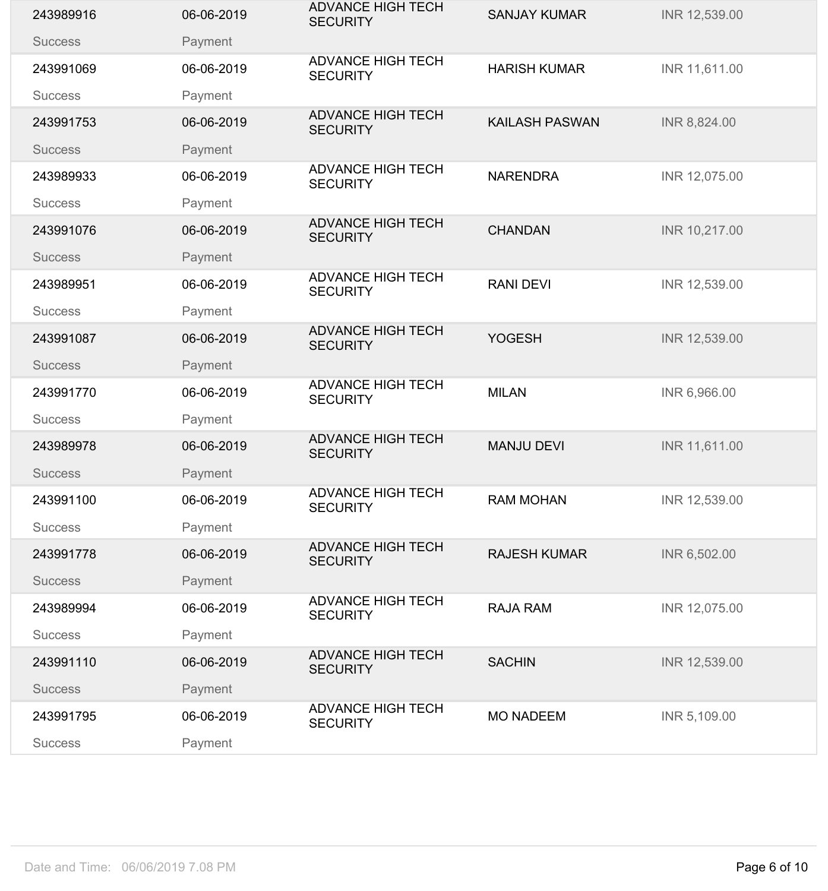| 243989916      | 06-06-2019 | <b>ADVANCE HIGH TECH</b><br><b>SECURITY</b> | <b>SANJAY KUMAR</b>   | INR 12,539.00 |
|----------------|------------|---------------------------------------------|-----------------------|---------------|
| <b>Success</b> | Payment    |                                             |                       |               |
| 243991069      | 06-06-2019 | <b>ADVANCE HIGH TECH</b><br><b>SECURITY</b> | <b>HARISH KUMAR</b>   | INR 11,611.00 |
| <b>Success</b> | Payment    |                                             |                       |               |
| 243991753      | 06-06-2019 | <b>ADVANCE HIGH TECH</b><br><b>SECURITY</b> | <b>KAILASH PASWAN</b> | INR 8,824.00  |
| <b>Success</b> | Payment    |                                             |                       |               |
| 243989933      | 06-06-2019 | <b>ADVANCE HIGH TECH</b><br><b>SECURITY</b> | <b>NARENDRA</b>       | INR 12,075.00 |
| <b>Success</b> | Payment    |                                             |                       |               |
| 243991076      | 06-06-2019 | <b>ADVANCE HIGH TECH</b><br><b>SECURITY</b> | <b>CHANDAN</b>        | INR 10,217.00 |
| <b>Success</b> | Payment    | <b>ADVANCE HIGH TECH</b>                    |                       |               |
| 243989951      | 06-06-2019 | <b>SECURITY</b>                             | <b>RANI DEVI</b>      | INR 12,539.00 |
| <b>Success</b> | Payment    |                                             |                       |               |
| 243991087      | 06-06-2019 | <b>ADVANCE HIGH TECH</b><br><b>SECURITY</b> | <b>YOGESH</b>         | INR 12,539.00 |
| <b>Success</b> | Payment    |                                             |                       |               |
| 243991770      | 06-06-2019 | <b>ADVANCE HIGH TECH</b><br><b>SECURITY</b> | <b>MILAN</b>          | INR 6,966.00  |
| <b>Success</b> | Payment    |                                             |                       |               |
| 243989978      | 06-06-2019 | <b>ADVANCE HIGH TECH</b><br><b>SECURITY</b> | <b>MANJU DEVI</b>     | INR 11,611.00 |
| <b>Success</b> | Payment    |                                             |                       |               |
| 243991100      | 06-06-2019 | <b>ADVANCE HIGH TECH</b><br><b>SECURITY</b> | <b>RAM MOHAN</b>      | INR 12,539.00 |
| <b>Success</b> | Payment    |                                             |                       |               |
| 243991778      | 06-06-2019 | <b>ADVANCE HIGH TECH</b><br><b>SECURITY</b> | <b>RAJESH KUMAR</b>   | INR 6,502.00  |
| <b>Success</b> | Payment    |                                             |                       |               |
| 243989994      | 06-06-2019 | <b>ADVANCE HIGH TECH</b><br><b>SECURITY</b> | <b>RAJA RAM</b>       | INR 12,075.00 |
| <b>Success</b> | Payment    |                                             |                       |               |
| 243991110      | 06-06-2019 | <b>ADVANCE HIGH TECH</b><br><b>SECURITY</b> | <b>SACHIN</b>         | INR 12,539.00 |
| <b>Success</b> | Payment    |                                             |                       |               |
| 243991795      | 06-06-2019 | <b>ADVANCE HIGH TECH</b><br><b>SECURITY</b> | <b>MO NADEEM</b>      | INR 5,109.00  |
| <b>Success</b> | Payment    |                                             |                       |               |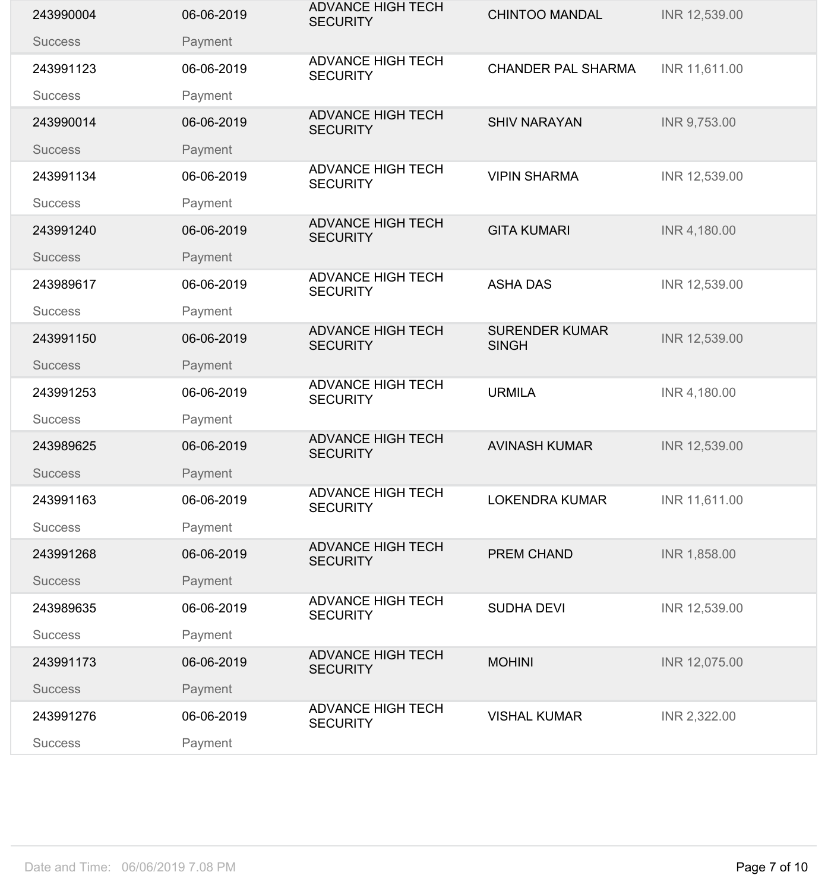| 243990004      | 06-06-2019 | <b>ADVANCE HIGH TECH</b><br><b>SECURITY</b> | <b>CHINTOO MANDAL</b>                 | INR 12,539.00 |
|----------------|------------|---------------------------------------------|---------------------------------------|---------------|
| <b>Success</b> | Payment    |                                             |                                       |               |
| 243991123      | 06-06-2019 | <b>ADVANCE HIGH TECH</b><br><b>SECURITY</b> | <b>CHANDER PAL SHARMA</b>             | INR 11,611.00 |
| <b>Success</b> | Payment    |                                             |                                       |               |
| 243990014      | 06-06-2019 | <b>ADVANCE HIGH TECH</b><br><b>SECURITY</b> | <b>SHIV NARAYAN</b>                   | INR 9,753.00  |
| <b>Success</b> | Payment    |                                             |                                       |               |
| 243991134      | 06-06-2019 | <b>ADVANCE HIGH TECH</b><br><b>SECURITY</b> | <b>VIPIN SHARMA</b>                   | INR 12,539.00 |
| <b>Success</b> | Payment    |                                             |                                       |               |
| 243991240      | 06-06-2019 | <b>ADVANCE HIGH TECH</b><br><b>SECURITY</b> | <b>GITA KUMARI</b>                    | INR 4,180.00  |
| <b>Success</b> | Payment    |                                             |                                       |               |
| 243989617      | 06-06-2019 | <b>ADVANCE HIGH TECH</b><br><b>SECURITY</b> | <b>ASHA DAS</b>                       | INR 12,539.00 |
| <b>Success</b> | Payment    |                                             |                                       |               |
| 243991150      | 06-06-2019 | <b>ADVANCE HIGH TECH</b><br><b>SECURITY</b> | <b>SURENDER KUMAR</b><br><b>SINGH</b> | INR 12,539.00 |
| <b>Success</b> | Payment    |                                             |                                       |               |
| 243991253      | 06-06-2019 | <b>ADVANCE HIGH TECH</b><br><b>SECURITY</b> | <b>URMILA</b>                         | INR 4,180.00  |
| <b>Success</b> | Payment    |                                             |                                       |               |
| 243989625      | 06-06-2019 | <b>ADVANCE HIGH TECH</b><br><b>SECURITY</b> | <b>AVINASH KUMAR</b>                  | INR 12,539.00 |
| <b>Success</b> | Payment    |                                             |                                       |               |
| 243991163      | 06-06-2019 | <b>ADVANCE HIGH TECH</b><br><b>SECURITY</b> | <b>LOKENDRA KUMAR</b>                 | INR 11,611.00 |
| <b>Success</b> | Payment    |                                             |                                       |               |
| 243991268      | 06-06-2019 | <b>ADVANCE HIGH TECH</b><br><b>SECURITY</b> | <b>PREM CHAND</b>                     | INR 1,858.00  |
| <b>Success</b> | Payment    |                                             |                                       |               |
| 243989635      | 06-06-2019 | <b>ADVANCE HIGH TECH</b><br><b>SECURITY</b> | <b>SUDHA DEVI</b>                     | INR 12,539.00 |
| <b>Success</b> | Payment    |                                             |                                       |               |
| 243991173      | 06-06-2019 | <b>ADVANCE HIGH TECH</b><br><b>SECURITY</b> | <b>MOHINI</b>                         | INR 12,075.00 |
| <b>Success</b> | Payment    |                                             |                                       |               |
| 243991276      | 06-06-2019 | <b>ADVANCE HIGH TECH</b><br><b>SECURITY</b> | <b>VISHAL KUMAR</b>                   | INR 2,322.00  |
| <b>Success</b> | Payment    |                                             |                                       |               |
|                |            |                                             |                                       |               |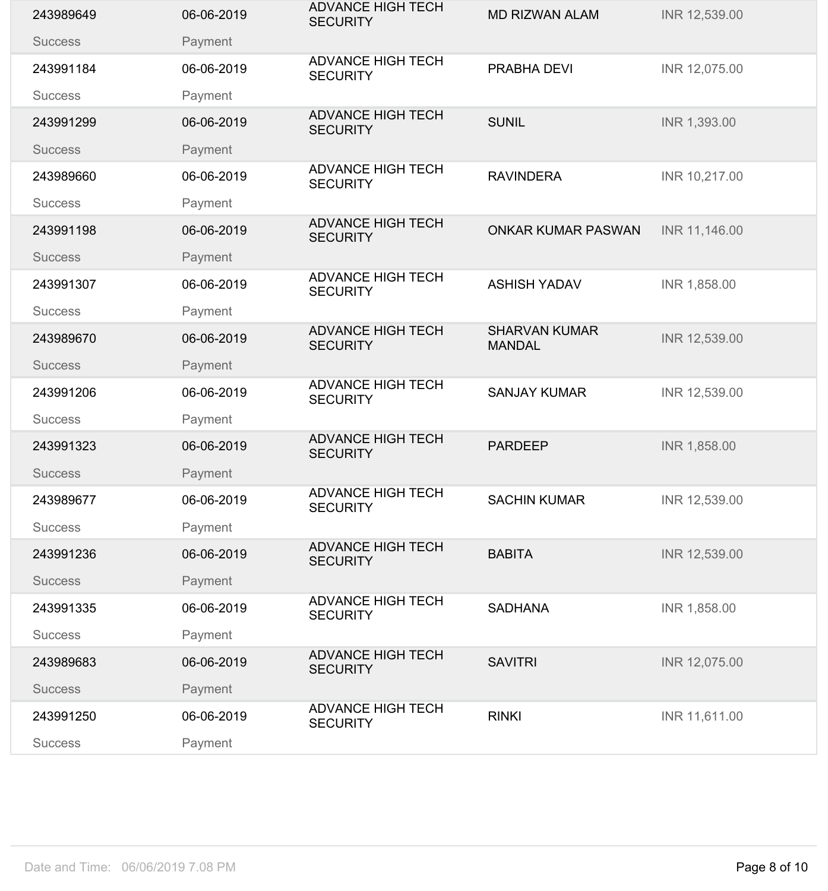| 243989649      | 06-06-2019 | <b>ADVANCE HIGH TECH</b><br><b>SECURITY</b> | <b>MD RIZWAN ALAM</b>                 | INR 12,539.00 |
|----------------|------------|---------------------------------------------|---------------------------------------|---------------|
| <b>Success</b> | Payment    |                                             |                                       |               |
| 243991184      | 06-06-2019 | <b>ADVANCE HIGH TECH</b><br><b>SECURITY</b> | PRABHA DEVI                           | INR 12,075.00 |
| <b>Success</b> | Payment    |                                             |                                       |               |
| 243991299      | 06-06-2019 | <b>ADVANCE HIGH TECH</b><br><b>SECURITY</b> | <b>SUNIL</b>                          | INR 1,393.00  |
| <b>Success</b> | Payment    |                                             |                                       |               |
| 243989660      | 06-06-2019 | <b>ADVANCE HIGH TECH</b><br><b>SECURITY</b> | <b>RAVINDERA</b>                      | INR 10,217.00 |
| <b>Success</b> | Payment    |                                             |                                       |               |
| 243991198      | 06-06-2019 | <b>ADVANCE HIGH TECH</b><br><b>SECURITY</b> | <b>ONKAR KUMAR PASWAN</b>             | INR 11,146.00 |
| <b>Success</b> | Payment    | <b>ADVANCE HIGH TECH</b>                    |                                       |               |
| 243991307      | 06-06-2019 | <b>SECURITY</b>                             | <b>ASHISH YADAV</b>                   | INR 1,858.00  |
| <b>Success</b> | Payment    |                                             |                                       |               |
| 243989670      | 06-06-2019 | <b>ADVANCE HIGH TECH</b><br><b>SECURITY</b> | <b>SHARVAN KUMAR</b><br><b>MANDAL</b> | INR 12,539.00 |
| <b>Success</b> | Payment    |                                             |                                       |               |
| 243991206      | 06-06-2019 | <b>ADVANCE HIGH TECH</b><br><b>SECURITY</b> | <b>SANJAY KUMAR</b>                   | INR 12,539.00 |
| <b>Success</b> | Payment    |                                             |                                       |               |
| 243991323      | 06-06-2019 | <b>ADVANCE HIGH TECH</b><br><b>SECURITY</b> | <b>PARDEEP</b>                        | INR 1,858.00  |
| <b>Success</b> | Payment    |                                             |                                       |               |
| 243989677      | 06-06-2019 | <b>ADVANCE HIGH TECH</b><br><b>SECURITY</b> | <b>SACHIN KUMAR</b>                   | INR 12,539.00 |
| <b>Success</b> | Payment    |                                             |                                       |               |
| 243991236      | 06-06-2019 | <b>ADVANCE HIGH TECH</b><br><b>SECURITY</b> | <b>BABITA</b>                         | INR 12,539.00 |
| <b>Success</b> | Payment    |                                             |                                       |               |
| 243991335      | 06-06-2019 | <b>ADVANCE HIGH TECH</b><br><b>SECURITY</b> | <b>SADHANA</b>                        | INR 1,858.00  |
| <b>Success</b> | Payment    |                                             |                                       |               |
| 243989683      | 06-06-2019 | <b>ADVANCE HIGH TECH</b><br><b>SECURITY</b> | <b>SAVITRI</b>                        | INR 12,075.00 |
| <b>Success</b> | Payment    |                                             |                                       |               |
| 243991250      | 06-06-2019 | <b>ADVANCE HIGH TECH</b><br><b>SECURITY</b> | <b>RINKI</b>                          | INR 11,611.00 |
| <b>Success</b> | Payment    |                                             |                                       |               |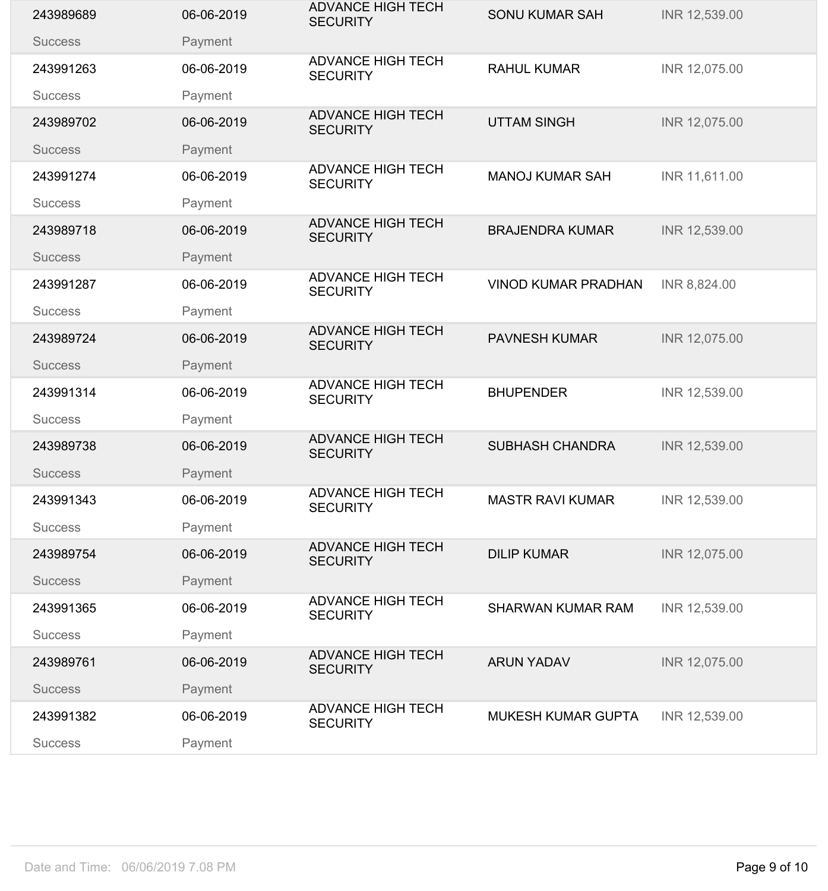| 243989689      | 06-06-2019 | <b>ADVANCE HIGH TECH</b><br><b>SECURITY</b> | <b>SONU KUMAR SAH</b>      | INR 12,539.00 |
|----------------|------------|---------------------------------------------|----------------------------|---------------|
| <b>Success</b> | Payment    |                                             |                            |               |
| 243991263      | 06-06-2019 | <b>ADVANCE HIGH TECH</b><br><b>SECURITY</b> | <b>RAHUL KUMAR</b>         | INR 12,075.00 |
| <b>Success</b> | Payment    |                                             |                            |               |
| 243989702      | 06-06-2019 | <b>ADVANCE HIGH TECH</b><br><b>SECURITY</b> | <b>UTTAM SINGH</b>         | INR 12,075.00 |
| <b>Success</b> | Payment    |                                             |                            |               |
| 243991274      | 06-06-2019 | <b>ADVANCE HIGH TECH</b><br><b>SECURITY</b> | <b>MANOJ KUMAR SAH</b>     | INR 11,611.00 |
| <b>Success</b> | Payment    |                                             |                            |               |
| 243989718      | 06-06-2019 | <b>ADVANCE HIGH TECH</b><br><b>SECURITY</b> | <b>BRAJENDRA KUMAR</b>     | INR 12,539.00 |
| <b>Success</b> | Payment    | <b>ADVANCE HIGH TECH</b>                    |                            |               |
| 243991287      | 06-06-2019 | <b>SECURITY</b>                             | <b>VINOD KUMAR PRADHAN</b> | INR 8,824.00  |
| <b>Success</b> | Payment    |                                             |                            |               |
| 243989724      | 06-06-2019 | <b>ADVANCE HIGH TECH</b><br><b>SECURITY</b> | <b>PAVNESH KUMAR</b>       | INR 12,075.00 |
| <b>Success</b> | Payment    |                                             |                            |               |
| 243991314      | 06-06-2019 | <b>ADVANCE HIGH TECH</b><br><b>SECURITY</b> | <b>BHUPENDER</b>           | INR 12,539.00 |
| <b>Success</b> | Payment    |                                             |                            |               |
| 243989738      | 06-06-2019 | <b>ADVANCE HIGH TECH</b><br><b>SECURITY</b> | <b>SUBHASH CHANDRA</b>     | INR 12,539.00 |
| <b>Success</b> | Payment    |                                             |                            |               |
| 243991343      | 06-06-2019 | <b>ADVANCE HIGH TECH</b><br><b>SECURITY</b> | <b>MASTR RAVI KUMAR</b>    | INR 12,539.00 |
| <b>Success</b> | Payment    |                                             |                            |               |
| 243989754      | 06-06-2019 | <b>ADVANCE HIGH TECH</b><br><b>SECURITY</b> | <b>DILIP KUMAR</b>         | INR 12,075.00 |
| <b>Success</b> | Payment    |                                             |                            |               |
| 243991365      | 06-06-2019 | <b>ADVANCE HIGH TECH</b><br><b>SECURITY</b> | <b>SHARWAN KUMAR RAM</b>   | INR 12,539.00 |
| <b>Success</b> | Payment    |                                             |                            |               |
| 243989761      | 06-06-2019 | <b>ADVANCE HIGH TECH</b><br><b>SECURITY</b> | <b>ARUN YADAV</b>          | INR 12,075.00 |
| <b>Success</b> | Payment    |                                             |                            |               |
| 243991382      | 06-06-2019 | <b>ADVANCE HIGH TECH</b><br><b>SECURITY</b> | <b>MUKESH KUMAR GUPTA</b>  | INR 12,539.00 |
| <b>Success</b> | Payment    |                                             |                            |               |